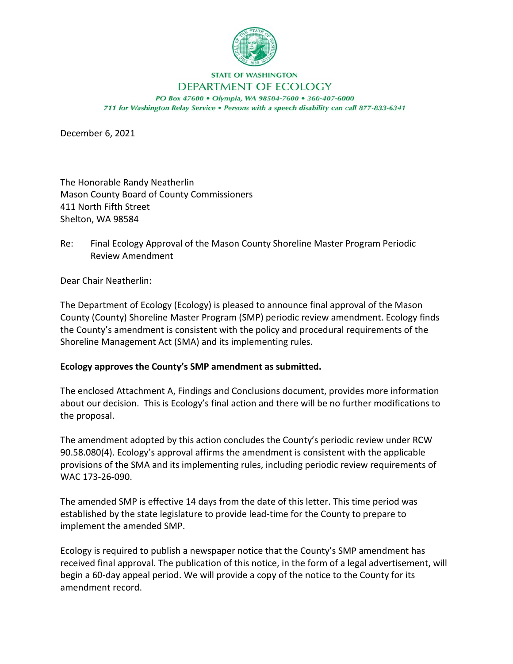

## **STATE OF WASHINGTON** DEPARTMENT OF ECOLOGY

PO Box 47600 . Olympia, WA 98504-7600 . 360-407-6000 711 for Washington Relay Service . Persons with a speech disability can call 877-833-6341

December 6, 2021

The Honorable Randy Neatherlin Mason County Board of County Commissioners 411 North Fifth Street Shelton, WA 98584

Re: Final Ecology Approval of the Mason County Shoreline Master Program Periodic Review Amendment

Dear Chair Neatherlin:

The Department of Ecology (Ecology) is pleased to announce final approval of the Mason County (County) Shoreline Master Program (SMP) periodic review amendment. Ecology finds the County's amendment is consistent with the policy and procedural requirements of the Shoreline Management Act (SMA) and its implementing rules.

## **Ecology approves the County's SMP amendment as submitted.**

The enclosed Attachment A, Findings and Conclusions document, provides more information about our decision. This is Ecology's final action and there will be no further modifications to the proposal.

The amendment adopted by this action concludes the County's periodic review under RCW 90.58.080(4). Ecology's approval affirms the amendment is consistent with the applicable provisions of the SMA and its implementing rules, including periodic review requirements of WAC 173-26-090.

The amended SMP is effective 14 days from the date of this letter. This time period was established by the state legislature to provide lead-time for the County to prepare to implement the amended SMP.

Ecology is required to publish a newspaper notice that the County's SMP amendment has received final approval. The publication of this notice, in the form of a legal advertisement, will begin a 60-day appeal period. We will provide a copy of the notice to the County for its amendment record.